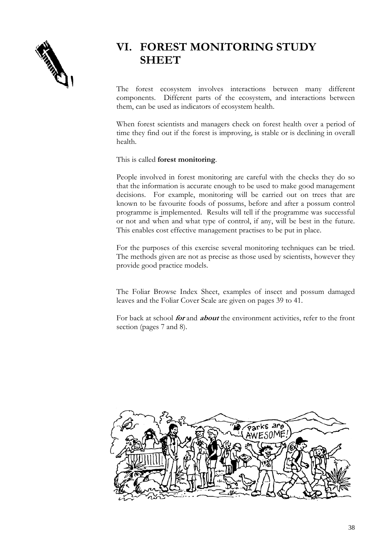

## **VI. FOREST MONITORING STUDY SHEET**

The forest ecosystem involves interactions between many different components. Different parts of the ecosystem, and interactions between them, can be used as indicators of ecosystem health.

When forest scientists and managers check on forest health over a period of time they find out if the forest is improving, is stable or is declining in overall health.

This is called **forest monitoring**.

People involved in forest monitoring are careful with the checks they do so that the information is accurate enough to be used to make good management decisions. For example, monitoring will be carried out on trees that are known to be favourite foods of possums, before and after a possum control programme is implemented. Results will tell if the programme was successful or not and when and what type of control, if any, will be best in the future. This enables cost effective management practises to be put in place.

For the purposes of this exercise several monitoring techniques can be tried. The methods given are not as precise as those used by scientists, however they provide good practice models.

The Foliar Browse Index Sheet, examples of insect and possum damaged leaves and the Foliar Cover Scale are given on pages 39 to 41.

For back at school **for** and **about** the environment activities, refer to the front section (pages 7 and 8).

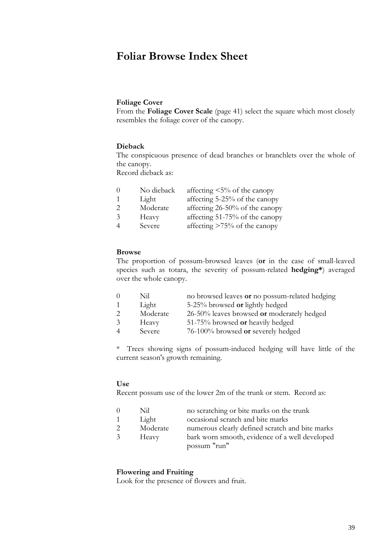### **Foliar Browse Index Sheet**

### **Foliage Cover**

From the **Foliage Cover Scale** (page 41) select the square which most closely resembles the foliage cover of the canopy.

#### **Dieback**

The conspicuous presence of dead branches or branchlets over the whole of the canopy.

Record dieback as:

| - ()          | No dieback | affecting $\leq 5\%$ of the canopy |
|---------------|------------|------------------------------------|
| $\mathbf{1}$  | Light      | affecting 5-25% of the canopy      |
| $\mathcal{P}$ | Moderate   | affecting 26-50% of the canopy     |
| $\mathcal{Z}$ | Heavy      | affecting 51-75% of the canopy     |
|               | Severe     | affecting $>75\%$ of the canopy    |

#### **Browse**

The proportion of possum-browsed leaves (**or** in the case of small-leaved species such as totara, the severity of possum-related **hedging\***) averaged over the whole canopy.

| $\Omega$       | Nil      | no browsed leaves or no possum-related hedging |
|----------------|----------|------------------------------------------------|
| 1              | Light    | 5-25% browsed or lightly hedged                |
| $\mathcal{L}$  | Moderate | 26-50% leaves browsed or moderately hedged     |
| 3              | Heavy    | 51-75% browsed or heavily hedged               |
| $\overline{4}$ | Severe   | 76-100% browsed or severely hedged             |

\* Trees showing signs of possum-induced hedging will have little of the current season's growth remaining.

#### **Use**

Recent possum use of the lower 2m of the trunk or stem. Record as:

| 0              | Nil      | no scratching or bite marks on the trunk        |
|----------------|----------|-------------------------------------------------|
| 1              | Light    | occasional scratch and bite marks               |
| 2              | Moderate | numerous clearly defined scratch and bite marks |
| 3 <sup>7</sup> | Heavy    | bark worn smooth, evidence of a well developed  |
|                |          | possum "run"                                    |

### **Flowering and Fruiting**

Look for the presence of flowers and fruit.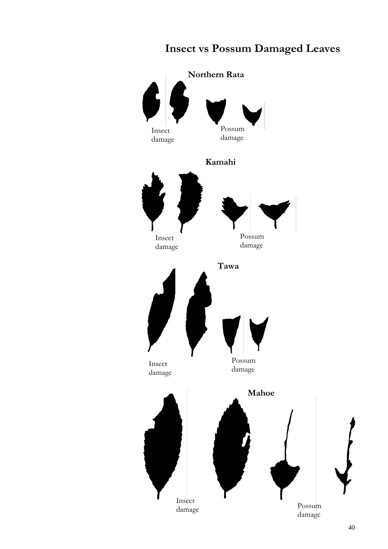## **Insect vs Possum Damaged Leaves**

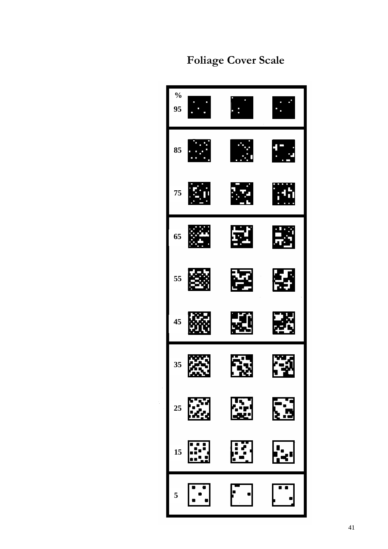# **Foliage Cover Scale**

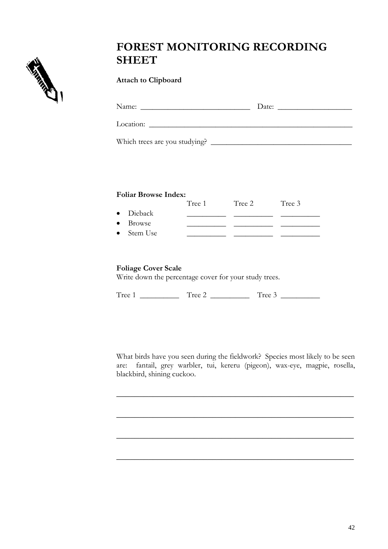

## **FOREST MONITORING RECORDING SHEET**

**Attach to Clipboard** 

|                             | Tree 3 |               |
|-----------------------------|--------|---------------|
|                             |        |               |
|                             |        |               |
|                             |        |               |
| <b>Foliar Browse Index:</b> |        | Tree 1 Tree 2 |

Write down the percentage cover for your study trees.

Tree 1 \_\_\_\_\_\_\_\_\_\_ Tree 2 \_\_\_\_\_\_\_\_\_\_ Tree 3 \_\_\_\_\_\_\_\_\_\_

What birds have you seen during the fieldwork? Species most likely to be seen are: fantail, grey warbler, tui, kereru (pigeon), wax-eye, magpie, rosella, blackbird, shining cuckoo.

\_\_\_\_\_\_\_\_\_\_\_\_\_\_\_\_\_\_\_\_\_\_\_\_\_\_\_\_\_\_\_\_\_\_\_\_\_\_\_\_\_\_\_\_\_\_\_\_\_\_\_\_

\_\_\_\_\_\_\_\_\_\_\_\_\_\_\_\_\_\_\_\_\_\_\_\_\_\_\_\_\_\_\_\_\_\_\_\_\_\_\_\_\_\_\_\_\_\_\_\_\_\_\_\_

\_\_\_\_\_\_\_\_\_\_\_\_\_\_\_\_\_\_\_\_\_\_\_\_\_\_\_\_\_\_\_\_\_\_\_\_\_\_\_\_\_\_\_\_\_\_\_\_\_\_\_\_

\_\_\_\_\_\_\_\_\_\_\_\_\_\_\_\_\_\_\_\_\_\_\_\_\_\_\_\_\_\_\_\_\_\_\_\_\_\_\_\_\_\_\_\_\_\_\_\_\_\_\_\_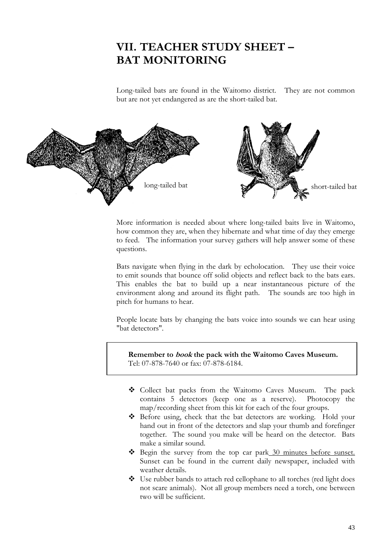### **VII. TEACHER STUDY SHEET – BAT MONITORING**

Long-tailed bats are found in the Waitomo district. They are not common but are not yet endangered as are the short-tailed bat.



More information is needed about where long-tailed baits live in Waitomo, how common they are, when they hibernate and what time of day they emerge to feed. The information your survey gathers will help answer some of these questions.

Bats navigate when flying in the dark by echolocation. They use their voice to emit sounds that bounce off solid objects and reflect back to the bats ears. This enables the bat to build up a near instantaneous picture of the environment along and around its flight path. The sounds are too high in pitch for humans to hear.

People locate bats by changing the bats voice into sounds we can hear using "bat detectors".

**Remember to book the pack with the Waitomo Caves Museum.**  Tel: 07-878-7640 or fax: 07-878-6184.

- Collect bat packs from the Waitomo Caves Museum. The pack contains 5 detectors (keep one as a reserve). Photocopy the map/recording sheet from this kit for each of the four groups.
- Before using, check that the bat detectors are working. Hold your hand out in front of the detectors and slap your thumb and forefinger together. The sound you make will be heard on the detector. Bats make a similar sound.
- Begin the survey from the top car park 30 minutes before sunset. Sunset can be found in the current daily newspaper, included with weather details.
- Use rubber bands to attach red cellophane to all torches (red light does not scare animals). Not all group members need a torch, one between two will be sufficient.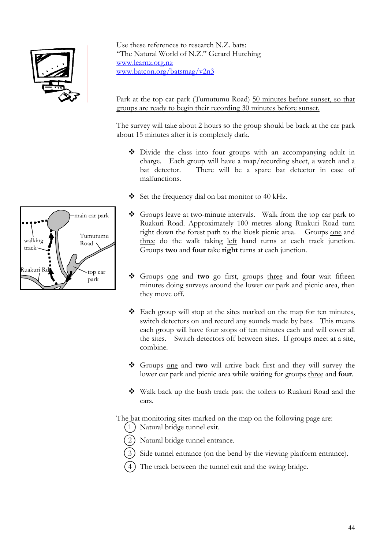

Use these references to research N.Z. bats: "The Natural World of N.Z." Gerard Hutching [www.learnz.org.nz](http://www.learz.org.nz/) [www.batcon.org/batsmag/v2n3](http://www.batcon.org/batsmag/v2n3)

Park at the top car park (Tumutumu Road) 50 minutes before sunset, so that groups are ready to begin their recording 30 minutes before sunset.

The survey will take about 2 hours so the group should be back at the car park about 15 minutes after it is completely dark.

- Divide the class into four groups with an accompanying adult in charge. Each group will have a map/recording sheet, a watch and a bat detector. There will be a spare bat detector in case of malfunctions.
- Set the frequency dial on bat monitor to 40 kHz.
- Groups leave at two-minute intervals. Walk from the top car park to Ruakuri Road. Approximately 100 metres along Ruakuri Road turn right down the forest path to the kiosk picnic area. Groups one and three do the walk taking left hand turns at each track junction. Groups **two** and **four** take **right** turns at each junction.
- Groups one and **two** go first, groups three and **four** wait fifteen minutes doing surveys around the lower car park and picnic area, then they move off.
- Each group will stop at the sites marked on the map for ten minutes, switch detectors on and record any sounds made by bats. This means each group will have four stops of ten minutes each and will cover all the sites. Switch detectors off between sites. If groups meet at a site, combine.
- Groups one and **two** will arrive back first and they will survey the lower car park and picnic area while waiting for groups three and **four**.
- Walk back up the bush track past the toilets to Ruakuri Road and the cars.

The bat monitoring sites marked on the map on the following page are:

 $(1)$  Natural bridge tunnel exit.





The track between the tunnel exit and the swing bridge.

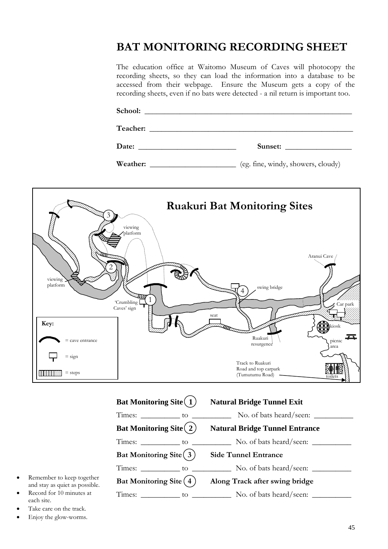### **BAT MONITORING RECORDING SHEET**

The education office at Waitomo Museum of Caves will photocopy the recording sheets, so they can load the information into a database to be accessed from their webpage. Ensure the Museum gets a copy of the recording sheets, even if no bats were detected - a nil return is important too.

| School:<br>the company's company's company's                                                                                |         |
|-----------------------------------------------------------------------------------------------------------------------------|---------|
| Teacher:<br>the contract of the contract of the contract of the contract of the contract of the contract of the contract of |         |
| Date:                                                                                                                       | Sunset: |

**Weather: \_\_\_\_\_\_\_\_\_\_\_\_\_\_\_\_\_\_\_\_\_\_** (eg. fine, windy, showers, cloudy)



| Bat Monitoring Site $(1)$             | <b>Natural Bridge Tunnel Exit</b>       |
|---------------------------------------|-----------------------------------------|
| $Times:$ _________________to          | No. of bats heard/seen: $\qquad \qquad$ |
| Bat Monitoring Site $(2)$             | <b>Natural Bridge Tunnel Entrance</b>   |
| Times:<br>$\overline{\phantom{a}}$ to | No. of bats heard/seen:                 |
| Bat Monitoring Site $(3)$             | <b>Side Tunnel Entrance</b>             |
| Times: to                             | No. of bats heard/seen:                 |
| Bat Monitoring Site $(4)$             | Along Track after swing bridge          |
| Times:<br>to                          | $\sim$ No. of bats heard/seen:          |

- Remember to keep together and stay as quiet as possible.
- Record for 10 minutes at each site.
- Take care on the track.
- Enjoy the glow-worms.